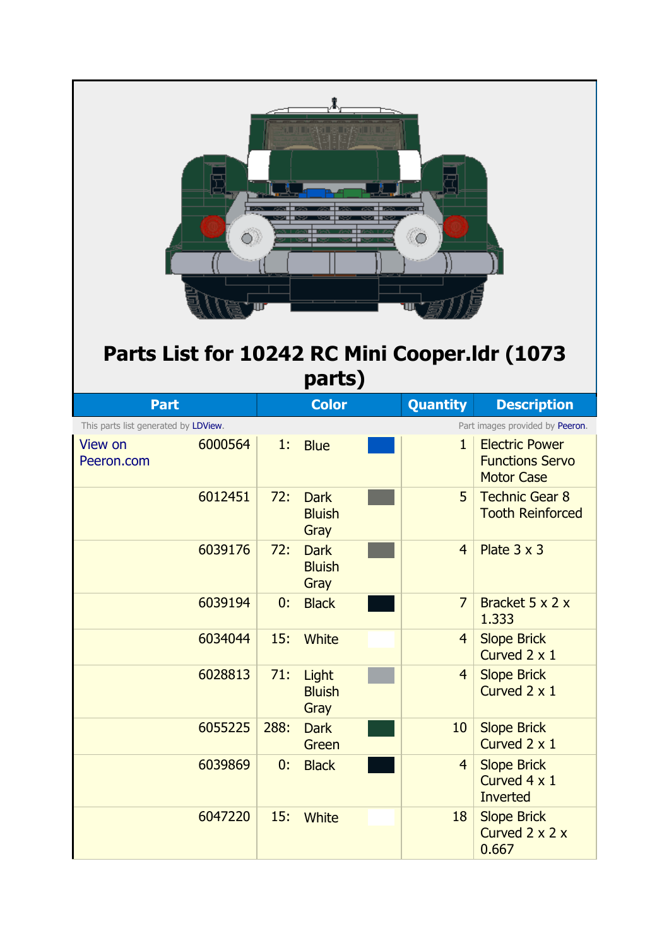

## **Parts List for 10242 RC Mini Cooper.ldr (1073 parts)**

| <b>Part</b>                          |         |      | <b>Color</b>                         | <b>Quantity</b> | <b>Description</b>                                                   |
|--------------------------------------|---------|------|--------------------------------------|-----------------|----------------------------------------------------------------------|
| This parts list generated by LDView. |         |      |                                      |                 | Part images provided by Peeron.                                      |
| <b>View on</b><br>Peeron.com         | 6000564 | 1:   | <b>Blue</b>                          | $\mathbf{1}$    | <b>Electric Power</b><br><b>Functions Servo</b><br><b>Motor Case</b> |
|                                      | 6012451 | 72:  | <b>Dark</b><br><b>Bluish</b><br>Gray | 5               | <b>Technic Gear 8</b><br><b>Tooth Reinforced</b>                     |
|                                      | 6039176 | 72:  | <b>Dark</b><br><b>Bluish</b><br>Gray | $\overline{4}$  | Plate $3 \times 3$                                                   |
|                                      | 6039194 | 0:   | <b>Black</b>                         | $\overline{7}$  | Bracket 5 x 2 x<br>1.333                                             |
|                                      | 6034044 | 15:  | White                                | $\overline{4}$  | <b>Slope Brick</b><br>Curved 2 x 1                                   |
|                                      | 6028813 | 71:  | Light<br><b>Bluish</b><br>Gray       | 4               | <b>Slope Brick</b><br>Curved 2 x 1                                   |
|                                      | 6055225 | 288: | <b>Dark</b><br>Green                 | 10              | <b>Slope Brick</b><br>Curved 2 x 1                                   |
|                                      | 6039869 | 0:   | <b>Black</b>                         | $\overline{4}$  | <b>Slope Brick</b><br>Curved 4 x 1<br>Inverted                       |
|                                      | 6047220 | 15:  | White                                | 18              | <b>Slope Brick</b><br>Curved $2 \times 2 \times$<br>0.667            |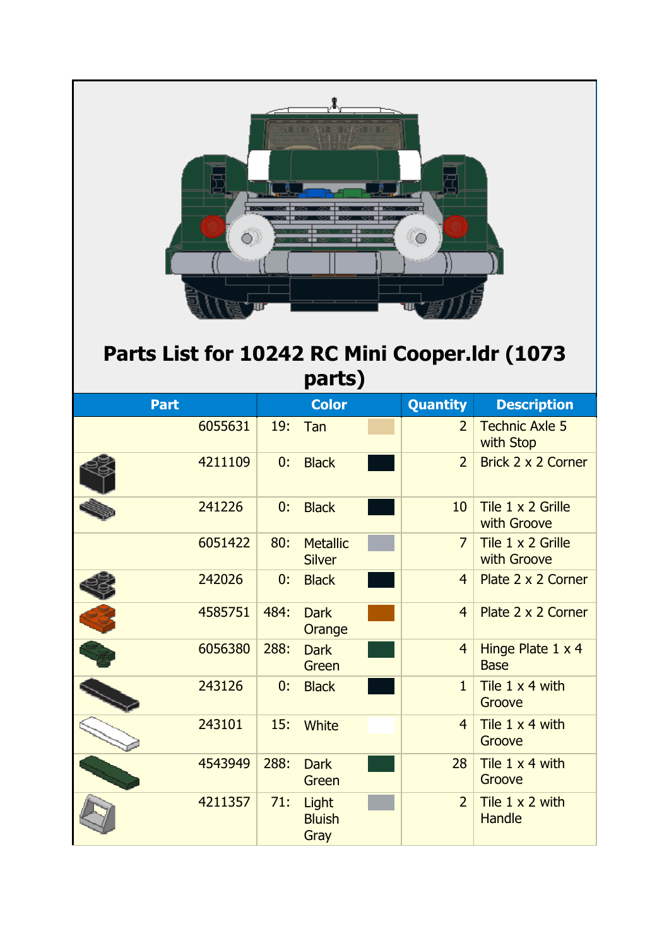

| <b>Part</b> |         |      | <b>Color</b>                     |  | Quantity       | <b>Description</b>                 |  |  |  |
|-------------|---------|------|----------------------------------|--|----------------|------------------------------------|--|--|--|
|             | 6055631 | 19:  | Tan                              |  | $\overline{2}$ | <b>Technic Axle 5</b><br>with Stop |  |  |  |
|             | 4211109 | 0:   | <b>Black</b>                     |  | $\overline{2}$ | Brick 2 x 2 Corner                 |  |  |  |
|             | 241226  | 0:   | <b>Black</b>                     |  | 10             | Tile 1 x 2 Grille<br>with Groove   |  |  |  |
|             | 6051422 | 80:  | <b>Metallic</b><br><b>Silver</b> |  | $\overline{7}$ | Tile 1 x 2 Grille<br>with Groove   |  |  |  |
|             | 242026  | 0:   | <b>Black</b>                     |  | $\overline{4}$ | Plate 2 x 2 Corner                 |  |  |  |
|             | 4585751 | 484: | <b>Dark</b><br>Orange            |  | $\overline{4}$ | Plate 2 x 2 Corner                 |  |  |  |
|             | 6056380 | 288: | <b>Dark</b><br>Green             |  | $\overline{4}$ | Hinge Plate 1 x 4<br><b>Base</b>   |  |  |  |
|             | 243126  | 0:   | <b>Black</b>                     |  | $\mathbf{1}$   | Tile $1 \times 4$ with<br>Groove   |  |  |  |
|             | 243101  | 15:  | <b>White</b>                     |  | 4              | Tile 1 x 4 with<br>Groove          |  |  |  |
|             | 4543949 | 288: | <b>Dark</b><br>Green             |  | 28             | Tile 1 x 4 with<br>Groove          |  |  |  |
|             | 4211357 | 71:  | Light<br><b>Bluish</b><br>Gray   |  | $\overline{2}$ | Tile 1 x 2 with<br><b>Handle</b>   |  |  |  |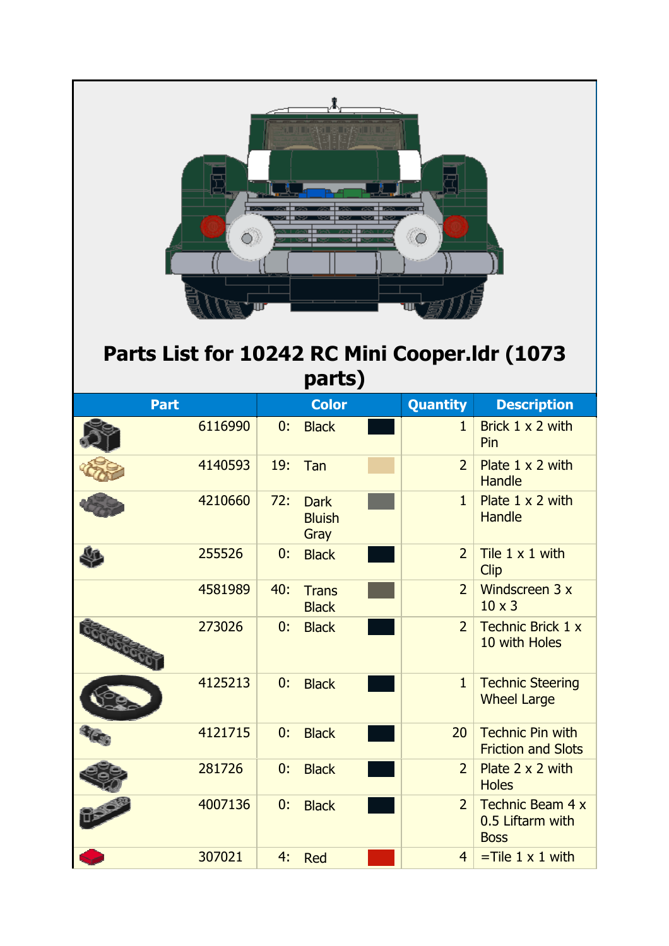| a ing at kalinggan iki d<br>Parts List for 10242 RC Mini Cooper.Idr (1073<br>parts) |         |     |                                      |  |                |                                                            |  |  |
|-------------------------------------------------------------------------------------|---------|-----|--------------------------------------|--|----------------|------------------------------------------------------------|--|--|
| <b>Part</b>                                                                         |         |     | <b>Color</b>                         |  | Quantity       | <b>Description</b>                                         |  |  |
|                                                                                     | 6116990 | 0:  | <b>Black</b>                         |  | $\mathbf{1}$   | Brick 1 x 2 with<br>Pin                                    |  |  |
|                                                                                     | 4140593 | 19: | Tan                                  |  | $\overline{2}$ | Plate $1 \times 2$ with<br><b>Handle</b>                   |  |  |
|                                                                                     | 4210660 | 72: | <b>Dark</b><br><b>Bluish</b><br>Gray |  | $\mathbf{1}$   | Plate $1 \times 2$ with<br><b>Handle</b>                   |  |  |
|                                                                                     | 255526  | 0:  | <b>Black</b>                         |  | $\overline{2}$ | Tile $1 \times 1$ with<br><b>Clip</b>                      |  |  |
|                                                                                     | 4581989 | 40: | <b>Trans</b><br><b>Black</b>         |  | $\overline{2}$ | Windscreen 3 x<br>$10 \times 3$                            |  |  |
| Goodcoock                                                                           | 273026  | 0:  | <b>Black</b>                         |  | $\overline{2}$ | <b>Technic Brick 1 x</b><br>10 with Holes                  |  |  |
|                                                                                     | 4125213 | 0:  | <b>Black</b>                         |  | $\mathbf{1}$   | <b>Technic Steering</b><br><b>Wheel Large</b>              |  |  |
|                                                                                     | 4121715 | 0:  | <b>Black</b>                         |  | 20             | <b>Technic Pin with</b><br><b>Friction and Slots</b>       |  |  |
|                                                                                     | 281726  | 0:  | <b>Black</b>                         |  | $\overline{2}$ | Plate $2 \times 2$ with<br><b>Holes</b>                    |  |  |
|                                                                                     | 4007136 | 0:  | <b>Black</b>                         |  | $\overline{2}$ | <b>Technic Beam 4 x</b><br>0.5 Liftarm with<br><b>Boss</b> |  |  |
|                                                                                     | 307021  | 4:  | <b>Red</b>                           |  | $\overline{4}$ | $=$ Tile 1 x 1 with                                        |  |  |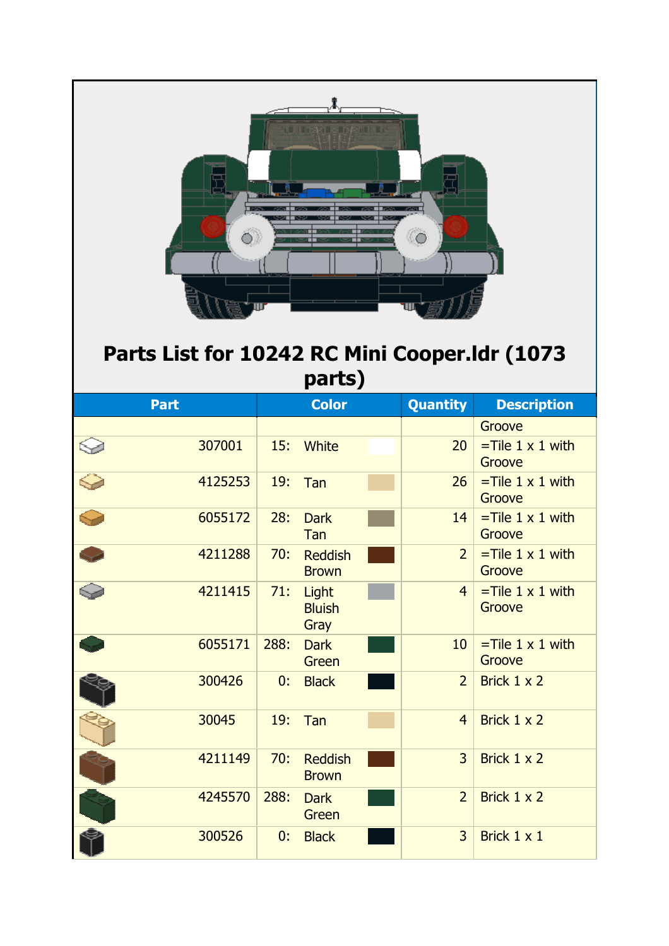| LEIDAG REGAULT<br>$\bigcirc$ .<br>Parts List for 10242 RC Mini Cooper.Idr (1073<br>parts) |         |      |                                |  |                 |                                         |  |  |
|-------------------------------------------------------------------------------------------|---------|------|--------------------------------|--|-----------------|-----------------------------------------|--|--|
| <b>Part</b>                                                                               |         |      | <b>Color</b>                   |  | <b>Quantity</b> | <b>Description</b>                      |  |  |
|                                                                                           | 307001  | 15:  | White                          |  | 20              | Groove<br>$=$ Tile 1 x 1 with<br>Groove |  |  |
|                                                                                           | 4125253 | 19:  | Tan                            |  | 26              | $=$ Tile 1 x 1 with<br>Groove           |  |  |
|                                                                                           | 6055172 | 28:  | <b>Dark</b><br>Tan             |  | 14              | $=$ Tile 1 x 1 with<br>Groove           |  |  |
|                                                                                           | 4211288 | 70:  | <b>Reddish</b><br><b>Brown</b> |  | $\overline{2}$  | $=$ Tile 1 x 1 with<br>Groove           |  |  |
|                                                                                           | 4211415 | 71:  | Light<br><b>Bluish</b><br>Gray |  | $\overline{4}$  | $=$ Tile 1 x 1 with<br>Groove           |  |  |
|                                                                                           | 6055171 | 288: | <b>Dark</b><br>Green           |  | 10              | $=$ Tile 1 x 1 with<br>Groove           |  |  |
|                                                                                           | 300426  | 0:   | <b>Black</b>                   |  | $\overline{2}$  | Brick 1 x 2                             |  |  |
|                                                                                           | 30045   | 19:  | Tan                            |  | $\overline{4}$  | Brick 1 x 2                             |  |  |
|                                                                                           | 4211149 | 70:  | <b>Reddish</b><br><b>Brown</b> |  | $\overline{3}$  | Brick 1 x 2                             |  |  |
|                                                                                           | 4245570 | 288: | <b>Dark</b><br>Green           |  | $\overline{2}$  | Brick 1 x 2                             |  |  |
|                                                                                           | 300526  | 0:   | <b>Black</b>                   |  | 3               | Brick 1 x 1                             |  |  |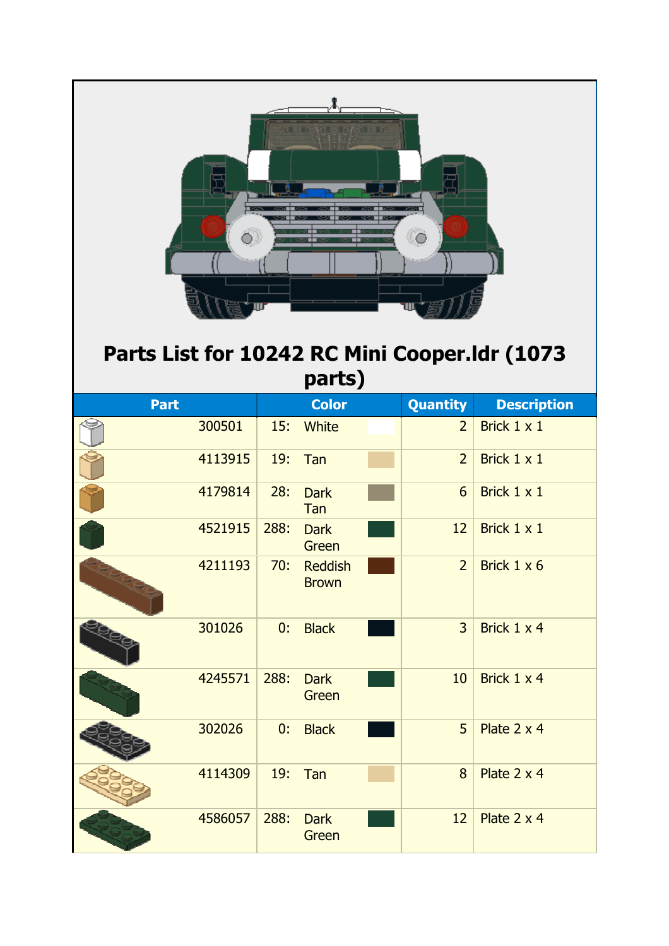| i Jura na pambu<br>0<br>Parts List for 10242 RC Mini Cooper.Idr (1073<br>parts) |         |      |                                |  |                |                    |  |  |  |
|---------------------------------------------------------------------------------|---------|------|--------------------------------|--|----------------|--------------------|--|--|--|
| Part                                                                            |         |      | <b>Color</b>                   |  | Quantity       | <b>Description</b> |  |  |  |
|                                                                                 | 300501  | 15:  | White                          |  | $\overline{2}$ | Brick 1 x 1        |  |  |  |
|                                                                                 | 4113915 | 19:  | Tan                            |  | $\overline{2}$ | Brick 1 x 1        |  |  |  |
|                                                                                 | 4179814 | 28:  | <b>Dark</b><br>Tan             |  | 6              | Brick 1 x 1        |  |  |  |
|                                                                                 | 4521915 | 288: | <b>Dark</b><br>Green           |  | 12             | Brick 1 x 1        |  |  |  |
|                                                                                 | 4211193 | 70:  | <b>Reddish</b><br><b>Brown</b> |  | $\overline{2}$ | Brick 1 x 6        |  |  |  |
|                                                                                 | 301026  | 0:   | <b>Black</b>                   |  | $\overline{3}$ | Brick 1 x 4        |  |  |  |
|                                                                                 | 4245571 | 288: | <b>Dark</b><br>Green           |  | 10             | Brick 1 x 4        |  |  |  |
|                                                                                 | 302026  | 0:   | <b>Black</b>                   |  | 5              | Plate 2 x 4        |  |  |  |
|                                                                                 | 4114309 | 19:  | Tan                            |  | 8              | Plate 2 x 4        |  |  |  |
|                                                                                 | 4586057 | 288: | <b>Dark</b><br>Green           |  | 12             | Plate 2 x 4        |  |  |  |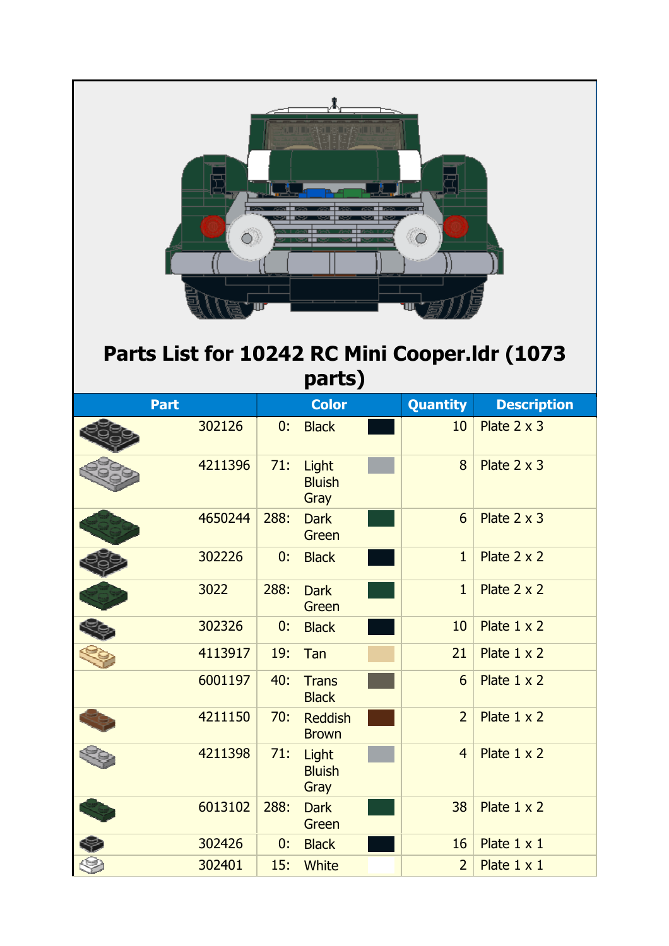| in a mean as report of a<br>Parts List for 10242 RC Mini Cooper.Idr (1073<br>parts) |         |      |                                |  |                 |                    |  |  |  |
|-------------------------------------------------------------------------------------|---------|------|--------------------------------|--|-----------------|--------------------|--|--|--|
| <b>Part</b>                                                                         |         |      | <b>Color</b>                   |  | <b>Quantity</b> | <b>Description</b> |  |  |  |
|                                                                                     | 302126  | 0:   | <b>Black</b>                   |  | 10              | Plate $2 \times 3$ |  |  |  |
|                                                                                     | 4211396 | 71:  | Light<br><b>Bluish</b><br>Gray |  | 8               | Plate $2 \times 3$ |  |  |  |
|                                                                                     | 4650244 | 288: | <b>Dark</b><br>Green           |  | 6               | Plate $2 \times 3$ |  |  |  |
|                                                                                     | 302226  | 0:   | <b>Black</b>                   |  | $\mathbf{1}$    | Plate $2 \times 2$ |  |  |  |
|                                                                                     | 3022    | 288: | <b>Dark</b><br>Green           |  | $\mathbf{1}$    | Plate 2 x 2        |  |  |  |
|                                                                                     | 302326  | 0:   | <b>Black</b>                   |  | 10              | Plate 1 x 2        |  |  |  |
|                                                                                     | 4113917 | 19:  | Tan                            |  | 21              | Plate $1 \times 2$ |  |  |  |
|                                                                                     | 6001197 | 40:  | <b>Trans</b><br><b>Black</b>   |  | $6\overline{6}$ | Plate 1 x 2        |  |  |  |
|                                                                                     | 4211150 | 70:  | <b>Reddish</b><br><b>Brown</b> |  | $\overline{2}$  | Plate 1 x 2        |  |  |  |
|                                                                                     | 4211398 | 71:  | Light<br><b>Bluish</b><br>Gray |  | $\overline{4}$  | Plate 1 x 2        |  |  |  |
|                                                                                     | 6013102 | 288: | <b>Dark</b><br>Green           |  | 38              | Plate $1 \times 2$ |  |  |  |
|                                                                                     | 302426  | 0:   | <b>Black</b>                   |  | 16              | Plate $1 \times 1$ |  |  |  |
|                                                                                     | 302401  | 15:  | <b>White</b>                   |  | $\overline{2}$  | Plate $1 \times 1$ |  |  |  |

 $\overline{\phantom{0}}$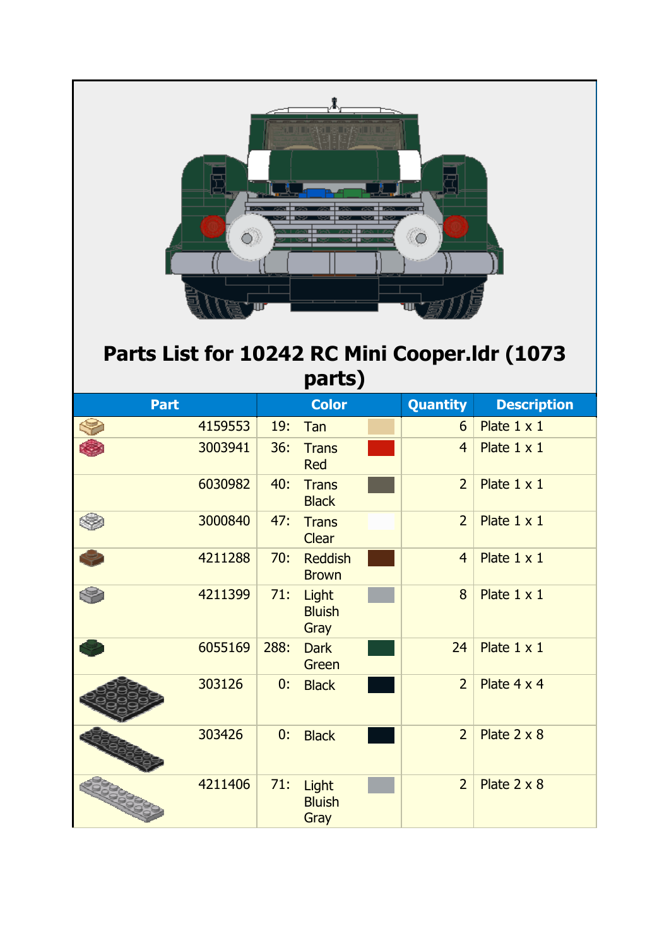

## **Parts List for 10242 RC Mini Cooper.ldr (1073 parts)**

| <b>Part</b> |         |      | <b>Color</b>                   | <b>Quantity</b> | <b>Description</b> |
|-------------|---------|------|--------------------------------|-----------------|--------------------|
|             | 4159553 | 19:  | Tan                            | 6               | Plate 1 x 1        |
|             | 3003941 | 36:  | <b>Trans</b><br><b>Red</b>     | $\overline{4}$  | Plate $1 \times 1$ |
|             | 6030982 | 40:  | <b>Trans</b><br><b>Black</b>   | $\overline{2}$  | Plate $1 \times 1$ |
|             | 3000840 | 47:  | <b>Trans</b><br><b>Clear</b>   | $\overline{2}$  | Plate $1 \times 1$ |
|             | 4211288 | 70:  | <b>Reddish</b><br><b>Brown</b> | $\overline{4}$  | Plate $1 \times 1$ |
|             | 4211399 | 71:  | Light<br><b>Bluish</b><br>Gray | 8               | Plate $1 \times 1$ |
|             | 6055169 | 288: | <b>Dark</b><br>Green           | 24              | Plate $1 \times 1$ |
|             | 303126  | 0:   | <b>Black</b>                   | $\overline{2}$  | Plate 4 x 4        |
|             | 303426  | 0:   | <b>Black</b>                   | $\overline{2}$  | Plate $2 \times 8$ |
|             | 4211406 | 71:  | Light<br><b>Bluish</b><br>Gray | $\overline{2}$  | Plate $2 \times 8$ |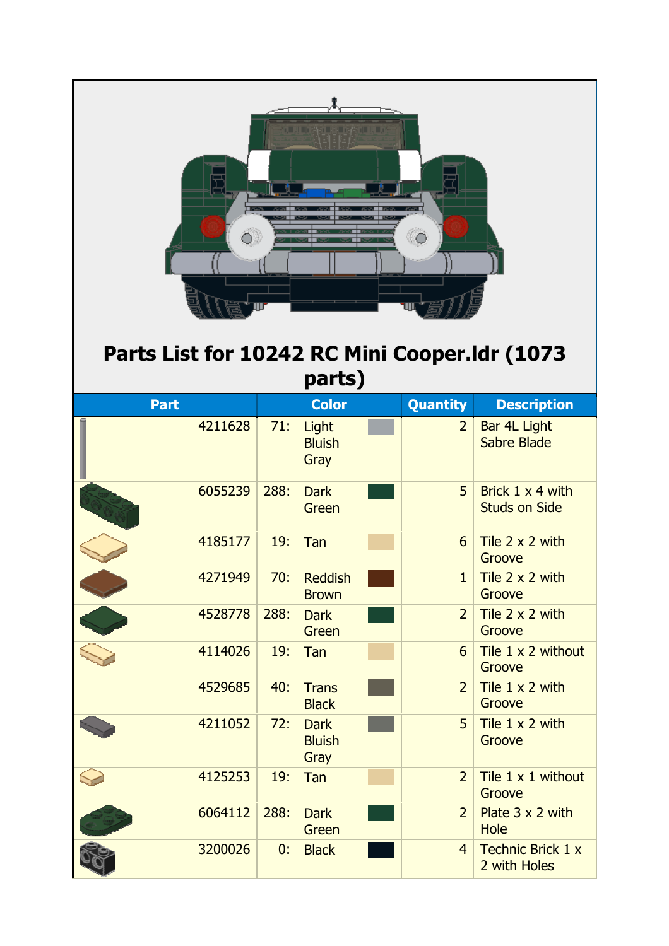

| 4114026 | 19:  | Tan                                  | 6              | Tile 1 x 2 without<br>Groove             |
|---------|------|--------------------------------------|----------------|------------------------------------------|
| 4529685 | 40:  | <b>Trans</b><br><b>Black</b>         | $\overline{2}$ | Tile 1 x 2 with<br>Groove                |
| 4211052 | 72:  | <b>Dark</b><br><b>Bluish</b><br>Gray | 5 <sup>1</sup> | Tile $1 \times 2$ with<br>Groove         |
| 4125253 | 19:  | Tan                                  | $\overline{2}$ | Tile 1 x 1 without<br>Groove             |
| 6064112 | 288: | <b>Dark</b><br>Green                 | 2 <sup>1</sup> | Plate 3 x 2 with<br><b>Hole</b>          |
| 3200026 | 0:   | <b>Black</b>                         | $\overline{4}$ | <b>Technic Brick 1 x</b><br>2 with Holes |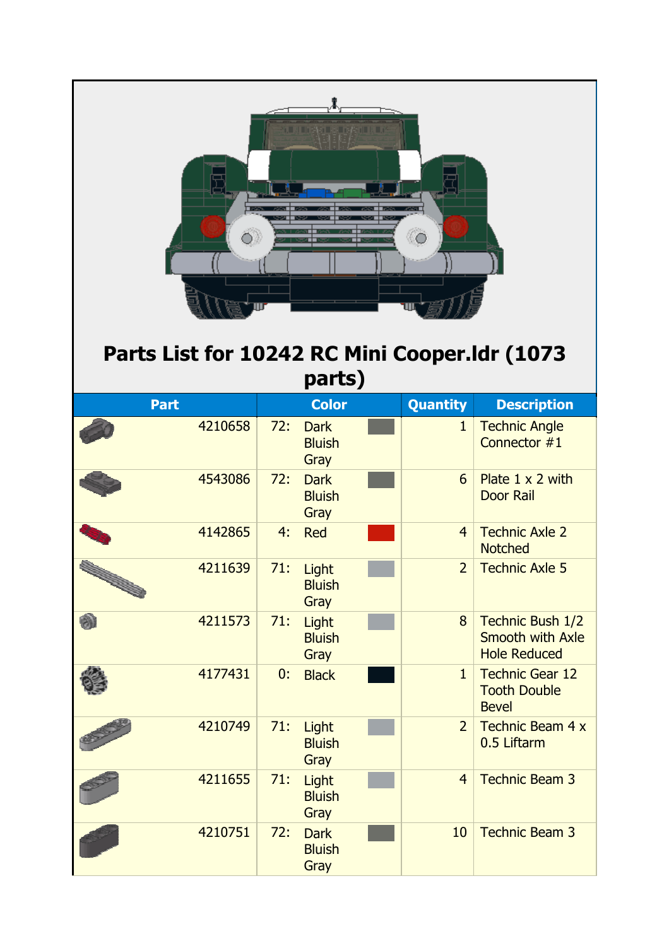| o a mara na ray n<br>$\circ$<br>Parts List for 10242 RC Mini Cooper.Idr (1073<br>parts) |         |     |                                      |  |                 |                                                                    |  |  |
|-----------------------------------------------------------------------------------------|---------|-----|--------------------------------------|--|-----------------|--------------------------------------------------------------------|--|--|
| <b>Part</b>                                                                             |         |     | <b>Color</b>                         |  | <b>Quantity</b> | <b>Description</b>                                                 |  |  |
|                                                                                         | 4210658 | 72: | <b>Dark</b><br><b>Bluish</b><br>Gray |  | $\mathbf{1}$    | <b>Technic Angle</b><br>Connector #1                               |  |  |
|                                                                                         | 4543086 | 72: | <b>Dark</b><br><b>Bluish</b><br>Gray |  | 6               | Plate $1 \times 2$ with<br><b>Door Rail</b>                        |  |  |
|                                                                                         | 4142865 | 4:  | <b>Red</b>                           |  | $\overline{4}$  | <b>Technic Axle 2</b><br><b>Notched</b>                            |  |  |
|                                                                                         | 4211639 | 71: | Light<br><b>Bluish</b><br>Gray       |  | $\overline{2}$  | <b>Technic Axle 5</b>                                              |  |  |
| Ø)                                                                                      | 4211573 | 71: | Light<br><b>Bluish</b><br>Gray       |  | 8               | Technic Bush 1/2<br><b>Smooth with Axle</b><br><b>Hole Reduced</b> |  |  |
|                                                                                         | 4177431 | 0:  | <b>Black</b>                         |  | $\mathbf{1}$    | <b>Technic Gear 12</b><br><b>Tooth Double</b><br><b>Bevel</b>      |  |  |
|                                                                                         | 4210749 | 71: | Light<br><b>Bluish</b><br>Gray       |  | $\overline{2}$  | <b>Technic Beam 4 x</b><br>0.5 Liftarm                             |  |  |
|                                                                                         | 4211655 | 71: | Light<br><b>Bluish</b><br>Gray       |  | $\overline{4}$  | <b>Technic Beam 3</b>                                              |  |  |
|                                                                                         | 4210751 | 72: | <b>Dark</b><br><b>Bluish</b><br>Gray |  | 10              | <b>Technic Beam 3</b>                                              |  |  |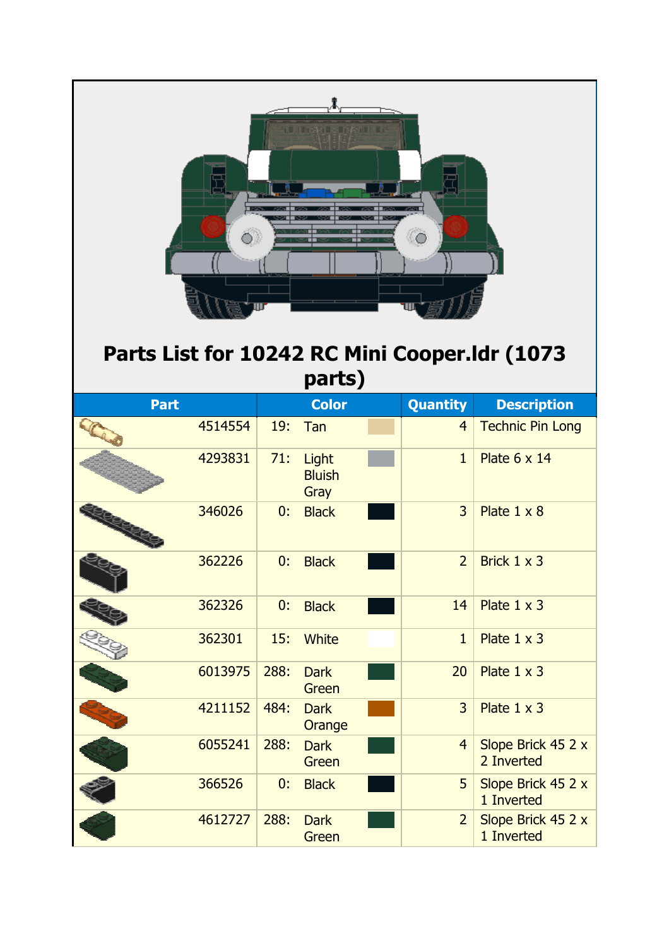| алын жалалауынын<br>O<br>Parts List for 10242 RC Mini Cooper.Idr (1073<br>parts) |         |      |                                |  |                 |                                  |  |  |
|----------------------------------------------------------------------------------|---------|------|--------------------------------|--|-----------------|----------------------------------|--|--|
| <b>Part</b>                                                                      |         |      | <b>Color</b>                   |  | <b>Quantity</b> | <b>Description</b>               |  |  |
|                                                                                  | 4514554 | 19:  | Tan                            |  | $\overline{4}$  | <b>Technic Pin Long</b>          |  |  |
|                                                                                  | 4293831 | 71:  | Light<br><b>Bluish</b><br>Gray |  | $\mathbf{1}$    | Plate 6 x 14                     |  |  |
|                                                                                  | 346026  | 0:   | <b>Black</b>                   |  | $\overline{3}$  | Plate $1 \times 8$               |  |  |
|                                                                                  | 362226  | 0:   | <b>Black</b>                   |  | $\overline{2}$  | Brick $1 \times 3$               |  |  |
|                                                                                  | 362326  | 0:   | <b>Black</b>                   |  | 14              | Plate $1 \times 3$               |  |  |
|                                                                                  | 362301  | 15:  | <b>White</b>                   |  | $\mathbf{1}$    | Plate $1 \times 3$               |  |  |
|                                                                                  | 6013975 | 288: | <b>Dark</b><br>Green           |  | 20              | Plate $1 \times 3$               |  |  |
|                                                                                  | 4211152 | 484: | <b>Dark</b><br>Orange          |  | $\overline{3}$  | Plate $1 \times 3$               |  |  |
|                                                                                  | 6055241 | 288: | <b>Dark</b><br>Green           |  | $\overline{4}$  | Slope Brick 45 2 x<br>2 Inverted |  |  |
|                                                                                  | 366526  | 0:   | <b>Black</b>                   |  | 5               | Slope Brick 45 2 x<br>1 Inverted |  |  |
|                                                                                  | 4612727 | 288: | <b>Dark</b><br>Green           |  | $\overline{2}$  | Slope Brick 45 2 x<br>1 Inverted |  |  |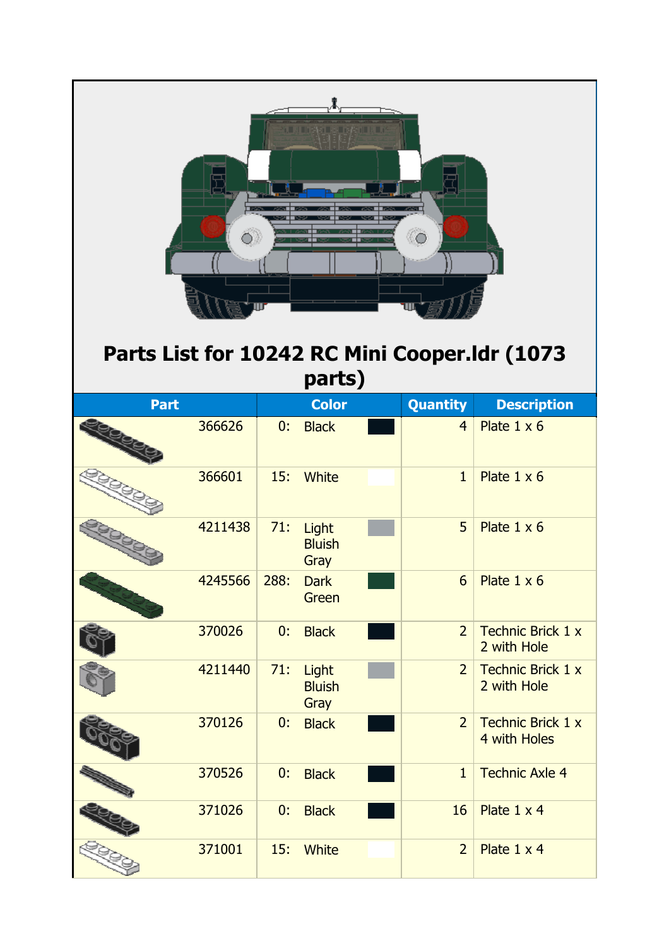| тан жака манал<br>$\circ$<br>Parts List for 10242 RC Mini Cooper.Idr (1073<br>parts) |         |      |                                |  |                |                                          |  |  |
|--------------------------------------------------------------------------------------|---------|------|--------------------------------|--|----------------|------------------------------------------|--|--|
| <b>Part</b>                                                                          |         |      | <b>Color</b>                   |  | Quantity       | <b>Description</b>                       |  |  |
|                                                                                      | 366626  | 0:   | <b>Black</b>                   |  | $\overline{4}$ | Plate $1 \times 6$                       |  |  |
|                                                                                      | 366601  | 15:  | <b>White</b>                   |  | $\mathbf{1}$   | Plate $1 \times 6$                       |  |  |
|                                                                                      | 4211438 | 71:  | Light<br><b>Bluish</b><br>Gray |  | 5              | Plate $1 \times 6$                       |  |  |
|                                                                                      | 4245566 | 288: | <b>Dark</b><br>Green           |  | 6 <sup>1</sup> | Plate $1 \times 6$                       |  |  |
|                                                                                      | 370026  | 0:   | <b>Black</b>                   |  | $\overline{2}$ | <b>Technic Brick 1 x</b><br>2 with Hole  |  |  |
|                                                                                      | 4211440 | 71:  | Light<br><b>Bluish</b><br>Gray |  | $\overline{2}$ | Technic Brick 1 x<br>2 with Hole         |  |  |
|                                                                                      | 370126  | 0:   | <b>Black</b>                   |  | $\overline{2}$ | <b>Technic Brick 1 x</b><br>4 with Holes |  |  |
|                                                                                      | 370526  | 0:   | <b>Black</b>                   |  | $\mathbf{1}$   | <b>Technic Axle 4</b>                    |  |  |
|                                                                                      | 371026  | 0:   | <b>Black</b>                   |  | 16             | Plate 1 x 4                              |  |  |
|                                                                                      | 371001  | 15:  | <b>White</b>                   |  | $\overline{2}$ | Plate 1 x 4                              |  |  |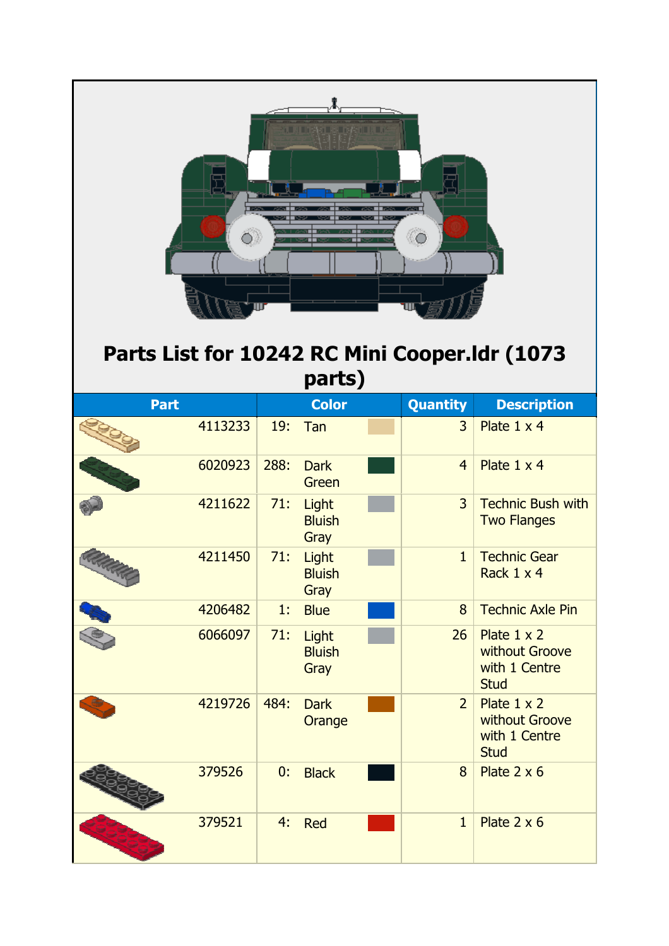| t a metal service de la m<br>$\circ$<br>Parts List for 10242 RC Mini Cooper.Idr (1073<br>parts) |         |       |                                |  |                 |                                                                      |  |  |  |
|-------------------------------------------------------------------------------------------------|---------|-------|--------------------------------|--|-----------------|----------------------------------------------------------------------|--|--|--|
| <b>Part</b>                                                                                     |         |       | <b>Color</b>                   |  | <b>Quantity</b> | <b>Description</b>                                                   |  |  |  |
|                                                                                                 | 4113233 | 19:   | Tan                            |  | 3               | Plate 1 x 4                                                          |  |  |  |
|                                                                                                 | 6020923 | 288:  | <b>Dark</b><br>Green           |  | $\overline{4}$  | Plate 1 x 4                                                          |  |  |  |
|                                                                                                 | 4211622 | 71:   | Light<br><b>Bluish</b><br>Gray |  | $\overline{3}$  | <b>Technic Bush with</b><br><b>Two Flanges</b>                       |  |  |  |
|                                                                                                 | 4211450 | 71:   | Light<br><b>Bluish</b><br>Gray |  | $\mathbf{1}$    | <b>Technic Gear</b><br>Rack 1 x 4                                    |  |  |  |
|                                                                                                 | 4206482 | $1$ . | <b>Blue</b>                    |  | 8               | <b>Technic Axle Pin</b>                                              |  |  |  |
|                                                                                                 | 6066097 | 71:   | Light<br><b>Bluish</b><br>Gray |  | 26              | Plate $1 \times 2$<br>without Groove<br>with 1 Centre<br><b>Stud</b> |  |  |  |
|                                                                                                 | 4219726 | 484:  | <b>Dark</b><br>Orange          |  | $\overline{2}$  | Plate $1 \times 2$<br>without Groove<br>with 1 Centre<br><b>Stud</b> |  |  |  |
|                                                                                                 | 379526  | 0:    | <b>Black</b>                   |  | 8               | Plate $2 \times 6$                                                   |  |  |  |
|                                                                                                 | 379521  | 4:    | <b>Red</b>                     |  | $\mathbf{1}$    | Plate $2 \times 6$                                                   |  |  |  |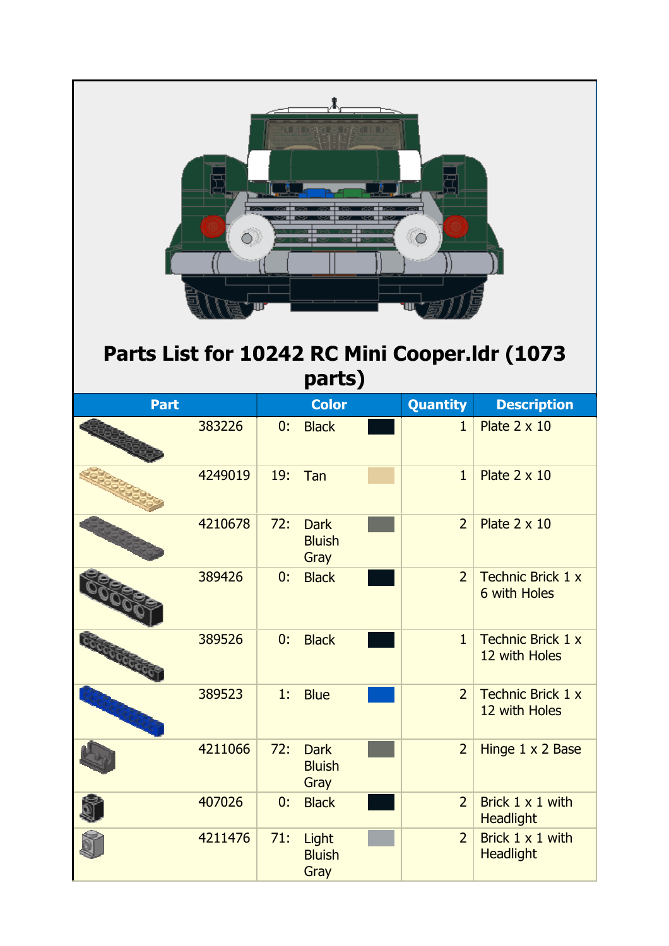| та немски види.<br>$\circ$<br>Parts List for 10242 RC Mini Cooper.Idr (1073<br>parts) |         |     |                                      |  |                |                                          |  |  |
|---------------------------------------------------------------------------------------|---------|-----|--------------------------------------|--|----------------|------------------------------------------|--|--|
| <b>Part</b>                                                                           |         |     | <b>Color</b>                         |  | Quantity       | <b>Description</b>                       |  |  |
|                                                                                       | 383226  | 0:  | <b>Black</b>                         |  | $\mathbf{1}$   | Plate $2 \times 10$                      |  |  |
|                                                                                       | 4249019 | 19: | Tan                                  |  | $\mathbf{1}$   | Plate $2 \times 10$                      |  |  |
|                                                                                       | 4210678 | 72: | <b>Dark</b><br><b>Bluish</b><br>Gray |  | $\overline{2}$ | Plate $2 \times 10$                      |  |  |
|                                                                                       | 389426  | 0:  | <b>Black</b>                         |  | $\overline{2}$ | <b>Technic Brick 1 x</b><br>6 with Holes |  |  |
| <b>ROODCOOT</b>                                                                       | 389526  | 0:  | <b>Black</b>                         |  | $\mathbf{1}$   | Technic Brick 1 x<br>12 with Holes       |  |  |
|                                                                                       | 389523  | 1:  | <b>Blue</b>                          |  | $\overline{2}$ | Technic Brick 1 x<br>12 with Holes       |  |  |
|                                                                                       | 4211066 | 72: | <b>Dark</b><br><b>Bluish</b><br>Gray |  | $\overline{2}$ | Hinge 1 x 2 Base                         |  |  |
|                                                                                       | 407026  | 0:  | <b>Black</b>                         |  | $\overline{2}$ | Brick 1 x 1 with<br><b>Headlight</b>     |  |  |
|                                                                                       | 4211476 | 71: | Light<br><b>Bluish</b><br>Gray       |  | $\overline{2}$ | Brick 1 x 1 with<br><b>Headlight</b>     |  |  |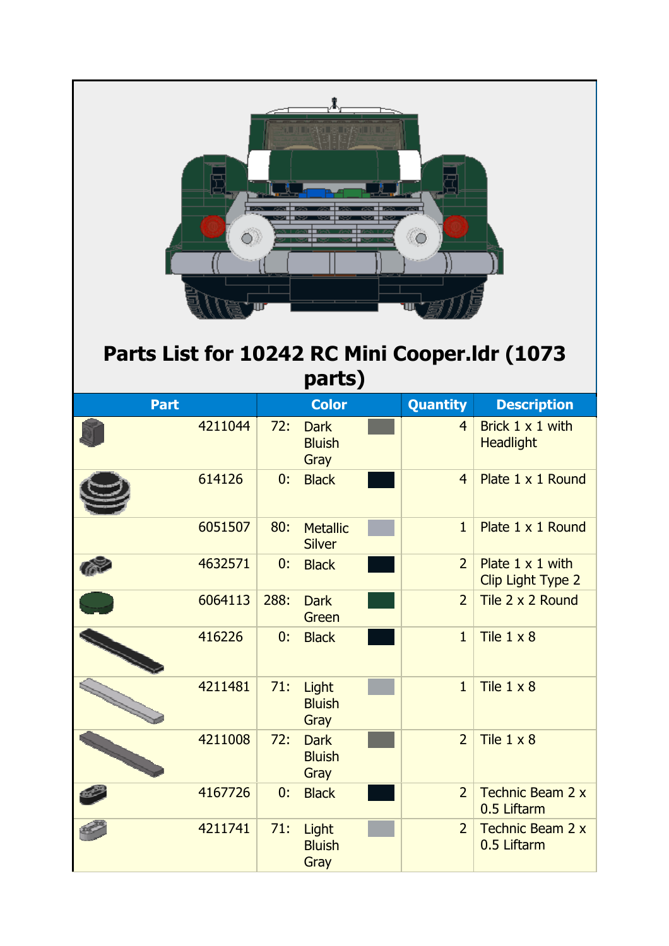| ПЕПЕЦИЯ В ГЕЙСТИЯ П<br>$\circ$<br>Parts List for 10242 RC Mini Cooper.Idr (1073<br>parts) |      |                                      |  |                |                                              |  |  |
|-------------------------------------------------------------------------------------------|------|--------------------------------------|--|----------------|----------------------------------------------|--|--|
| <b>Part</b>                                                                               |      | <b>Color</b>                         |  | Quantity       | <b>Description</b>                           |  |  |
| 4211044                                                                                   | 72:  | <b>Dark</b><br><b>Bluish</b><br>Gray |  | $\overline{4}$ | Brick 1 x 1 with<br><b>Headlight</b>         |  |  |
| 614126                                                                                    | 0:   | <b>Black</b>                         |  | $\overline{4}$ | Plate 1 x 1 Round                            |  |  |
| 6051507                                                                                   | 80:  | <b>Metallic</b><br><b>Silver</b>     |  | $\mathbf{1}$   | Plate 1 x 1 Round                            |  |  |
| 4632571                                                                                   | 0:   | <b>Black</b>                         |  | $\overline{2}$ | Plate $1 \times 1$ with<br>Clip Light Type 2 |  |  |
| 6064113                                                                                   | 288: | <b>Dark</b><br>Green                 |  | $\overline{2}$ | Tile 2 x 2 Round                             |  |  |
| 416226                                                                                    | 0:   | <b>Black</b>                         |  | $\mathbf{1}$   | Tile $1 \times 8$                            |  |  |
| 4211481                                                                                   | 71:  | Light<br><b>Bluish</b><br>Gray       |  | $\mathbf{1}$   | Tile $1 \times 8$                            |  |  |
| 4211008                                                                                   | 72:  | <b>Dark</b><br><b>Bluish</b><br>Gray |  | $\overline{2}$ | Tile $1 \times 8$                            |  |  |
| 4167726                                                                                   | 0:   | <b>Black</b>                         |  | $\overline{2}$ | <b>Technic Beam 2 x</b><br>0.5 Liftarm       |  |  |
| 4211741                                                                                   | 71:  | Light<br><b>Bluish</b><br>Gray       |  | $\overline{2}$ | Technic Beam 2 x<br>0.5 Liftarm              |  |  |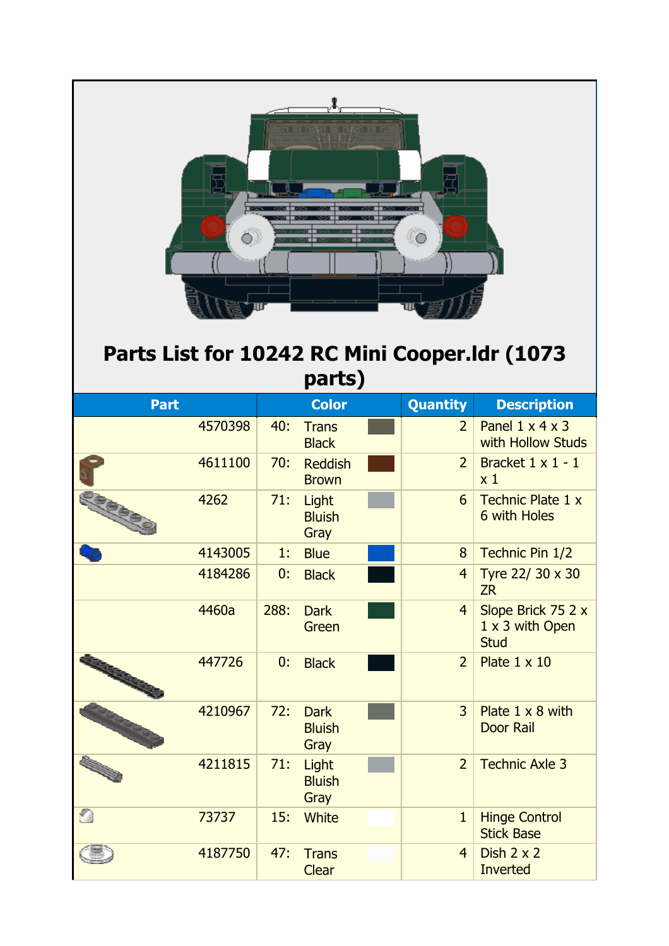| ù a me\o es e∤s i k a<br>Parts List for 10242 RC Mini Cooper.Idr (1073<br>parts) |         |      |                                      |                 |                                                      |  |  |  |
|----------------------------------------------------------------------------------|---------|------|--------------------------------------|-----------------|------------------------------------------------------|--|--|--|
| <b>Part</b>                                                                      |         |      | <b>Color</b>                         | <b>Quantity</b> | <b>Description</b>                                   |  |  |  |
|                                                                                  | 4570398 | 40:  | <b>Trans</b><br><b>Black</b>         | $\overline{2}$  | Panel $1 \times 4 \times 3$<br>with Hollow Studs     |  |  |  |
|                                                                                  | 4611100 | 70:  | <b>Reddish</b><br><b>Brown</b>       | $\overline{2}$  | Bracket $1 \times 1 - 1$<br>x <sub>1</sub>           |  |  |  |
|                                                                                  | 4262    | 71:  | Light<br><b>Bluish</b><br>Gray       | 6               | <b>Technic Plate 1 x</b><br>6 with Holes             |  |  |  |
|                                                                                  | 4143005 | 1:   | <b>Blue</b>                          | 8               | Technic Pin 1/2                                      |  |  |  |
|                                                                                  | 4184286 | 0:   | <b>Black</b>                         | $\overline{4}$  | Tyre 22/ 30 x 30<br><b>ZR</b>                        |  |  |  |
|                                                                                  | 4460a   | 288: | <b>Dark</b><br>Green                 | $\overline{4}$  | Slope Brick 75 2 x<br>1 x 3 with Open<br><b>Stud</b> |  |  |  |
|                                                                                  | 447726  | 0:   | <b>Black</b>                         | $\overline{2}$  | Plate $1 \times 10$                                  |  |  |  |
|                                                                                  | 4210967 | 72:  | <b>Dark</b><br><b>Bluish</b><br>Gray | $\overline{3}$  | Plate 1 x 8 with<br><b>Door Rail</b>                 |  |  |  |
|                                                                                  | 4211815 | 71:  | Light<br><b>Bluish</b><br>Gray       | $\overline{2}$  | <b>Technic Axle 3</b>                                |  |  |  |
| O                                                                                | 73737   | 15:  | <b>White</b>                         | $\mathbf{1}$    | <b>Hinge Control</b><br><b>Stick Base</b>            |  |  |  |
|                                                                                  | 4187750 | 47:  | <b>Trans</b><br><b>Clear</b>         | $\overline{4}$  | Dish $2 \times 2$<br><b>Inverted</b>                 |  |  |  |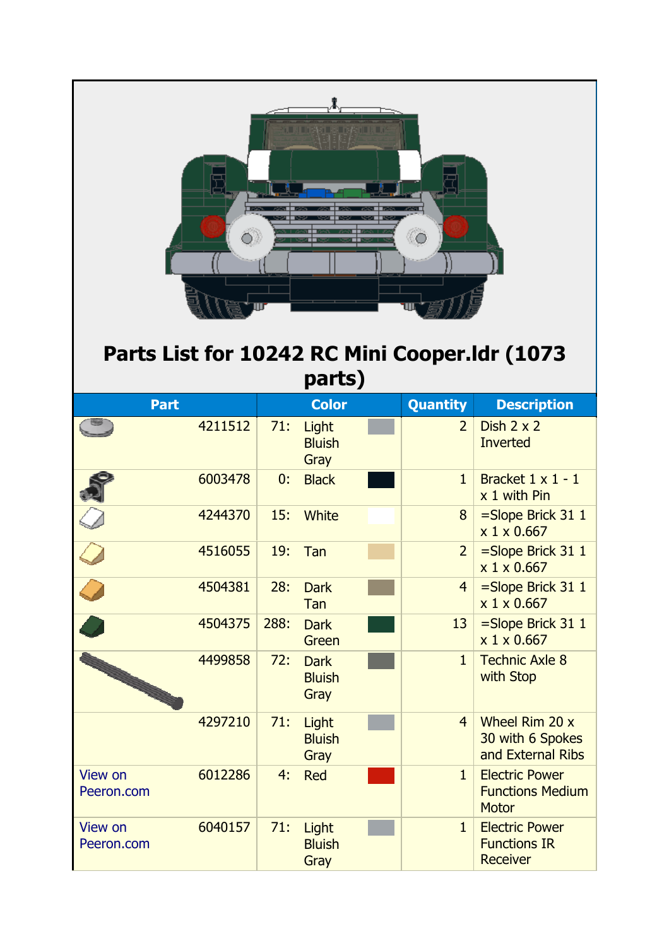| 이 지 마련이 되고 어떻게 많다.<br>Ö)<br>$\circ$<br>Parts List for 10242 RC Mini Cooper.Idr (1073<br>parts) |         |      |                                      |  |                 |                                                                  |  |  |
|------------------------------------------------------------------------------------------------|---------|------|--------------------------------------|--|-----------------|------------------------------------------------------------------|--|--|
| <b>Part</b>                                                                                    |         |      | <b>Color</b>                         |  | <b>Quantity</b> | <b>Description</b>                                               |  |  |
|                                                                                                | 4211512 | 71:  | Light<br><b>Bluish</b><br>Gray       |  | $\overline{2}$  | Dish $2 \times 2$<br><b>Inverted</b>                             |  |  |
|                                                                                                | 6003478 | 0:   | <b>Black</b>                         |  | $\mathbf{1}$    | Bracket $1 \times 1 - 1$<br>x 1 with Pin                         |  |  |
|                                                                                                | 4244370 | 15:  | White                                |  | 8               | $=$ Slope Brick 31 1<br>x 1 x 0.667                              |  |  |
|                                                                                                | 4516055 | 19:  | Tan                                  |  | $\overline{2}$  | $=$ Slope Brick 31 1<br>x 1 x 0.667                              |  |  |
|                                                                                                | 4504381 | 28:  | <b>Dark</b><br>Tan                   |  | $\overline{4}$  | $=$ Slope Brick 31 1<br>x 1 x 0.667                              |  |  |
|                                                                                                | 4504375 | 288: | <b>Dark</b><br>Green                 |  | 13              | $=$ Slope Brick 31 1<br>x 1 x 0.667                              |  |  |
|                                                                                                | 4499858 | 72:  | <b>Dark</b><br><b>Bluish</b><br>Gray |  | $\mathbf{1}$    | <b>Technic Axle 8</b><br>with Stop                               |  |  |
|                                                                                                | 4297210 | 71:  | Light<br><b>Bluish</b><br>Gray       |  | $\overline{4}$  | Wheel Rim 20 x<br>30 with 6 Spokes<br>and External Ribs          |  |  |
| <b>View on</b><br>Peeron.com                                                                   | 6012286 | 4:   | <b>Red</b>                           |  | $\mathbf{1}$    | <b>Electric Power</b><br><b>Functions Medium</b><br><b>Motor</b> |  |  |
| View on<br>Peeron.com                                                                          | 6040157 | 71:  | Light<br><b>Bluish</b><br>Gray       |  | $\mathbf{1}$    | <b>Electric Power</b><br><b>Functions IR</b><br><b>Receiver</b>  |  |  |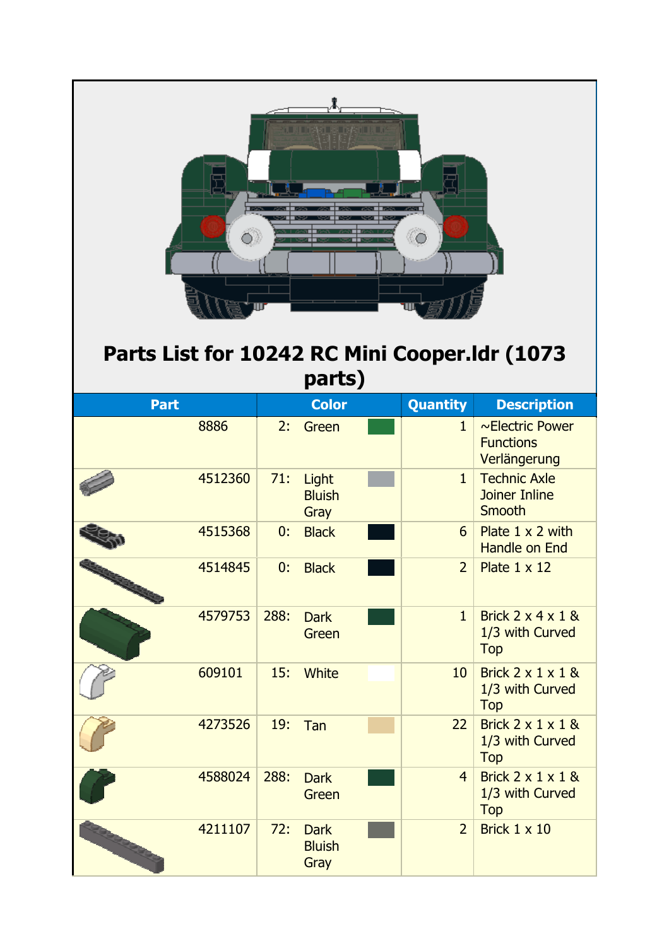| OL AL IDENSILARI DAGOLLIAL D<br>Ö)<br>Parts List for 10242 RC Mini Cooper.Idr (1073<br>parts) |         |      |                                      |  |                |                                                                |  |  |
|-----------------------------------------------------------------------------------------------|---------|------|--------------------------------------|--|----------------|----------------------------------------------------------------|--|--|
| <b>Part</b>                                                                                   |         |      | <b>Color</b>                         |  | Quantity       | <b>Description</b>                                             |  |  |
|                                                                                               | 8886    | 2:   | Green                                |  | $\mathbf{1}$   | $\sim$ Electric Power<br><b>Functions</b><br>Verlängerung      |  |  |
|                                                                                               | 4512360 | 71:  | Light<br><b>Bluish</b><br>Gray       |  | $\mathbf{1}$   | <b>Technic Axle</b><br><b>Joiner Inline</b><br>Smooth          |  |  |
|                                                                                               | 4515368 | 0:   | <b>Black</b>                         |  | 6              | Plate $1 \times 2$ with<br>Handle on End                       |  |  |
|                                                                                               | 4514845 | 0:   | <b>Black</b>                         |  | $\overline{2}$ | Plate $1 \times 12$                                            |  |  |
|                                                                                               | 4579753 | 288: | <b>Dark</b><br>Green                 |  | $\mathbf{1}$   | Brick $2 \times 4 \times 1$ &<br>1/3 with Curved<br><b>Top</b> |  |  |
|                                                                                               | 609101  | 15:  | <b>White</b>                         |  | 10             | Brick $2 \times 1 \times 1$ &<br>1/3 with Curved<br><b>Top</b> |  |  |
|                                                                                               | 4273526 | 19:  | Tan                                  |  | 22             | Brick $2 \times 1 \times 1$ &<br>1/3 with Curved<br><b>Top</b> |  |  |
|                                                                                               | 4588024 | 288: | <b>Dark</b><br>Green                 |  | $\overline{4}$ | Brick $2 \times 1 \times 1$ &<br>1/3 with Curved<br><b>Top</b> |  |  |
|                                                                                               | 4211107 | 72:  | <b>Dark</b><br><b>Bluish</b><br>Gray |  | $\overline{2}$ | Brick $1 \times 10$                                            |  |  |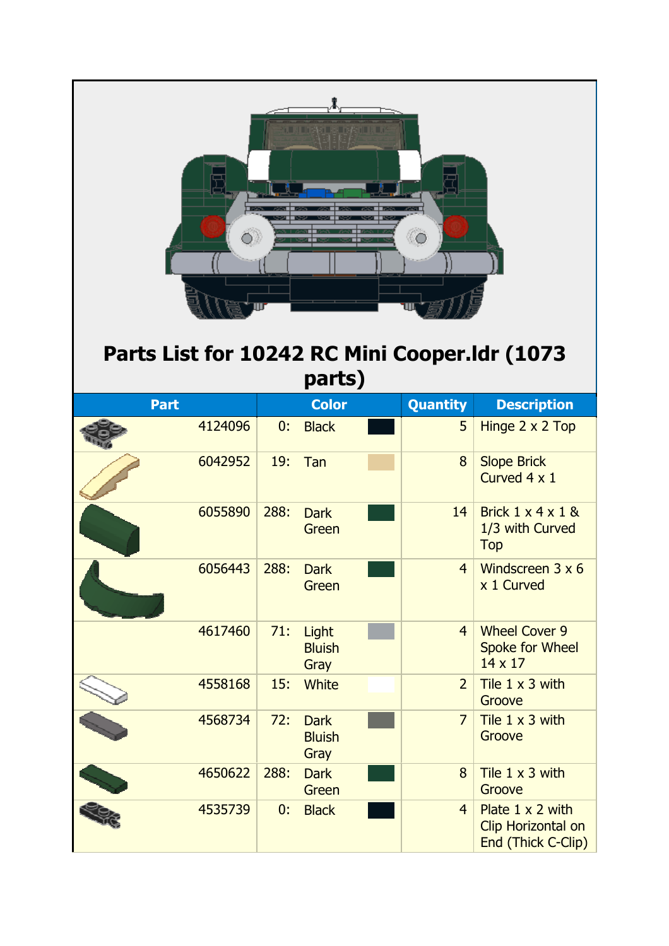| плодава в Англии<br>Parts List for 10242 RC Mini Cooper.Idr (1073<br>parts) |         |      |                                      |  |                |                                                                     |  |  |
|-----------------------------------------------------------------------------|---------|------|--------------------------------------|--|----------------|---------------------------------------------------------------------|--|--|
| <b>Part</b>                                                                 |         |      | <b>Color</b>                         |  | Quantity       | <b>Description</b>                                                  |  |  |
| 4124096                                                                     |         | 0:   | <b>Black</b>                         |  | 5              | Hinge 2 x 2 Top                                                     |  |  |
|                                                                             | 6042952 | 19:  | Tan                                  |  | 8              | <b>Slope Brick</b><br>Curved 4 x 1                                  |  |  |
|                                                                             | 6055890 | 288: | <b>Dark</b><br>Green                 |  | 14             | Brick $1 \times 4 \times 1$ &<br>1/3 with Curved<br><b>Top</b>      |  |  |
|                                                                             | 6056443 | 288: | <b>Dark</b><br>Green                 |  | $\overline{4}$ | Windscreen 3 x 6<br>x 1 Curved                                      |  |  |
|                                                                             | 4617460 | 71:  | Light<br><b>Bluish</b><br>Gray       |  | $\overline{4}$ | <b>Wheel Cover 9</b><br><b>Spoke for Wheel</b><br>14 x 17           |  |  |
|                                                                             | 4558168 | 15:  | <b>White</b>                         |  | $\overline{2}$ | Tile $1 \times 3$ with<br>Groove                                    |  |  |
|                                                                             | 4568734 | 72:  | <b>Dark</b><br><b>Bluish</b><br>Gray |  | $\overline{7}$ | Tile $1 \times 3$ with<br>Groove                                    |  |  |
|                                                                             | 4650622 | 288: | <b>Dark</b><br>Green                 |  | 8              | Tile 1 x 3 with<br>Groove                                           |  |  |
|                                                                             | 4535739 | 0:   | <b>Black</b>                         |  | $\overline{4}$ | Plate $1 \times 2$ with<br>Clip Horizontal on<br>End (Thick C-Clip) |  |  |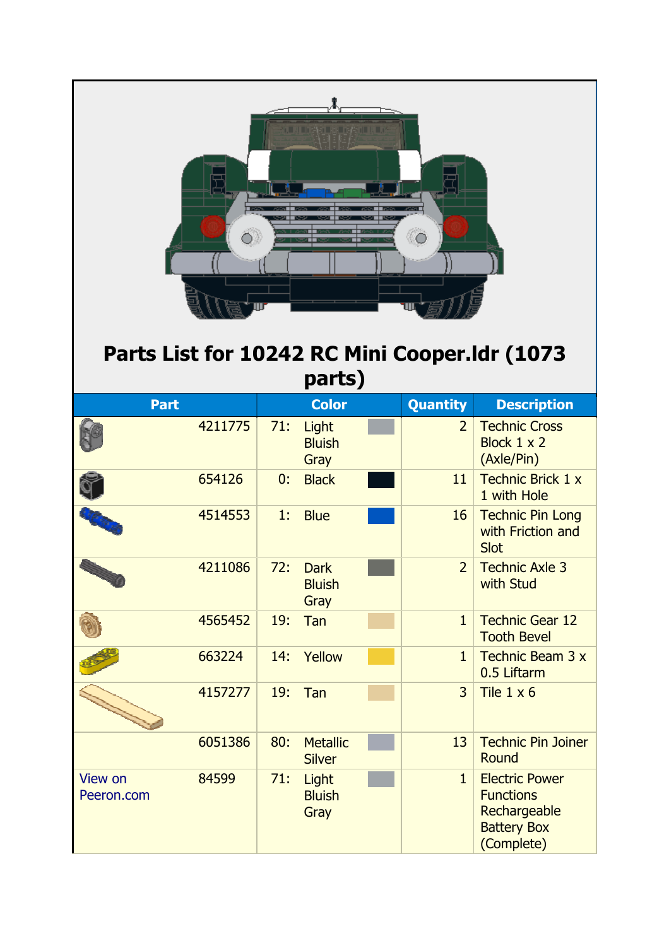| $\bigcirc$ .<br>$\circ$<br>Parts List for 10242 RC Mini Cooper.Idr (1073<br>parts) |         |     |                                      |  |                |                                                                                               |  |
|------------------------------------------------------------------------------------|---------|-----|--------------------------------------|--|----------------|-----------------------------------------------------------------------------------------------|--|
| <b>Part</b>                                                                        |         |     | <b>Color</b>                         |  | Quantity       | <b>Description</b>                                                                            |  |
|                                                                                    | 4211775 | 71: | Light<br><b>Bluish</b><br>Gray       |  | $\overline{2}$ | <b>Technic Cross</b><br>Block 1 x 2<br>(Axle/Pin)                                             |  |
|                                                                                    | 654126  | 0:  | <b>Black</b>                         |  | 11             | <b>Technic Brick 1 x</b><br>1 with Hole                                                       |  |
|                                                                                    | 4514553 | 1.  | <b>Blue</b>                          |  | 16             | <b>Technic Pin Long</b><br>with Friction and<br>Slot                                          |  |
|                                                                                    | 4211086 | 72: | <b>Dark</b><br><b>Bluish</b><br>Gray |  | $\overline{2}$ | <b>Technic Axle 3</b><br>with Stud                                                            |  |
|                                                                                    | 4565452 | 19: | Tan                                  |  | $\mathbf{1}$   | <b>Technic Gear 12</b><br><b>Tooth Bevel</b>                                                  |  |
|                                                                                    | 663224  | 14: | Yellow                               |  | $\mathbf{1}$   | Technic Beam 3 x<br>0.5 Liftarm                                                               |  |
|                                                                                    | 4157277 | 19: | Tan                                  |  | $\overline{3}$ | Tile $1 \times 6$                                                                             |  |
|                                                                                    | 6051386 | 80: | <b>Metallic</b><br><b>Silver</b>     |  | 13             | <b>Technic Pin Joiner</b><br>Round                                                            |  |
| <b>View on</b><br>Peeron.com                                                       | 84599   | 71: | Light<br><b>Bluish</b><br>Gray       |  | $\mathbf{1}$   | <b>Electric Power</b><br><b>Functions</b><br>Rechargeable<br><b>Battery Box</b><br>(Complete) |  |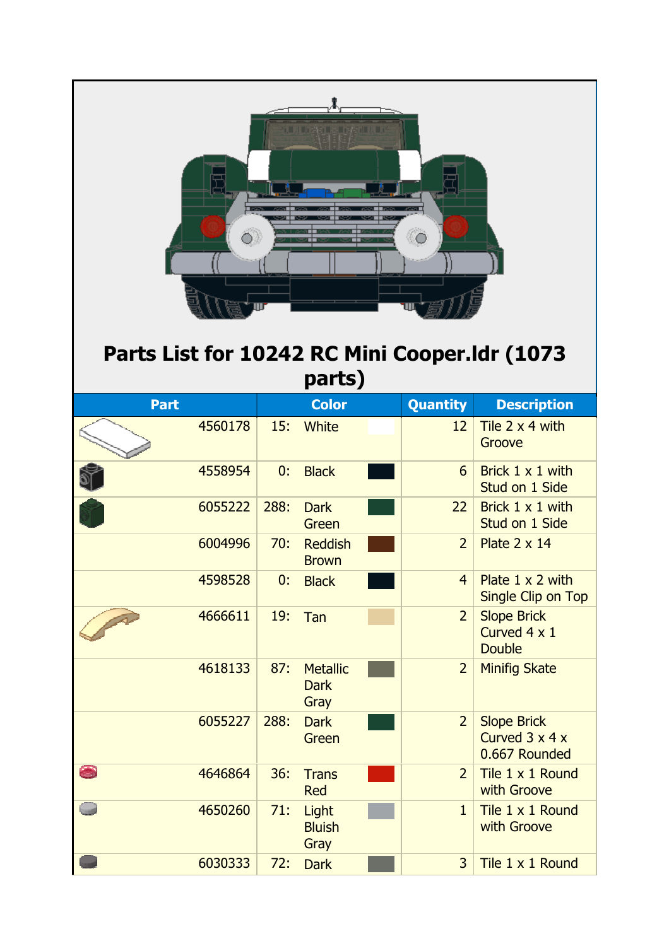| 이 제 마음이 되나 어떻게 했다.<br>$\bigcirc$ )<br>$\circ$<br>Parts List for 10242 RC Mini Cooper.Idr (1073<br>parts) |         |      |                                        |  |                 |                                                                   |  |
|----------------------------------------------------------------------------------------------------------|---------|------|----------------------------------------|--|-----------------|-------------------------------------------------------------------|--|
| <b>Part</b>                                                                                              |         |      | <b>Color</b>                           |  | <b>Quantity</b> | <b>Description</b>                                                |  |
|                                                                                                          | 4560178 | 15:  | White                                  |  | 12              | Tile 2 x 4 with<br>Groove                                         |  |
|                                                                                                          | 4558954 | 0:   | <b>Black</b>                           |  | 6               | Brick 1 x 1 with<br>Stud on 1 Side                                |  |
|                                                                                                          | 6055222 | 288: | <b>Dark</b><br>Green                   |  | 22              | Brick 1 x 1 with<br>Stud on 1 Side                                |  |
|                                                                                                          | 6004996 | 70:  | <b>Reddish</b><br><b>Brown</b>         |  | $\overline{2}$  | Plate $2 \times 14$                                               |  |
|                                                                                                          | 4598528 | 0:   | <b>Black</b>                           |  | $\overline{4}$  | Plate $1 \times 2$ with<br>Single Clip on Top                     |  |
|                                                                                                          | 4666611 | 19:  | Tan                                    |  | $\overline{2}$  | <b>Slope Brick</b><br>Curved 4 x 1<br><b>Double</b>               |  |
|                                                                                                          | 4618133 | 87:  | <b>Metallic</b><br><b>Dark</b><br>Gray |  | $\overline{2}$  | <b>Minifig Skate</b>                                              |  |
|                                                                                                          | 6055227 | 288: | <b>Dark</b><br>Green                   |  | $\overline{2}$  | <b>Slope Brick</b><br>Curved $3 \times 4 \times$<br>0.667 Rounded |  |
| $\bullet$                                                                                                | 4646864 | 36:  | <b>Trans</b><br><b>Red</b>             |  | $\overline{2}$  | Tile 1 x 1 Round<br>with Groove                                   |  |
|                                                                                                          | 4650260 | 71:  | Light<br><b>Bluish</b><br>Gray         |  | $\mathbf{1}$    | Tile 1 x 1 Round<br>with Groove                                   |  |
|                                                                                                          | 6030333 | 72:  | <b>Dark</b>                            |  | $\overline{3}$  | Tile 1 x 1 Round                                                  |  |